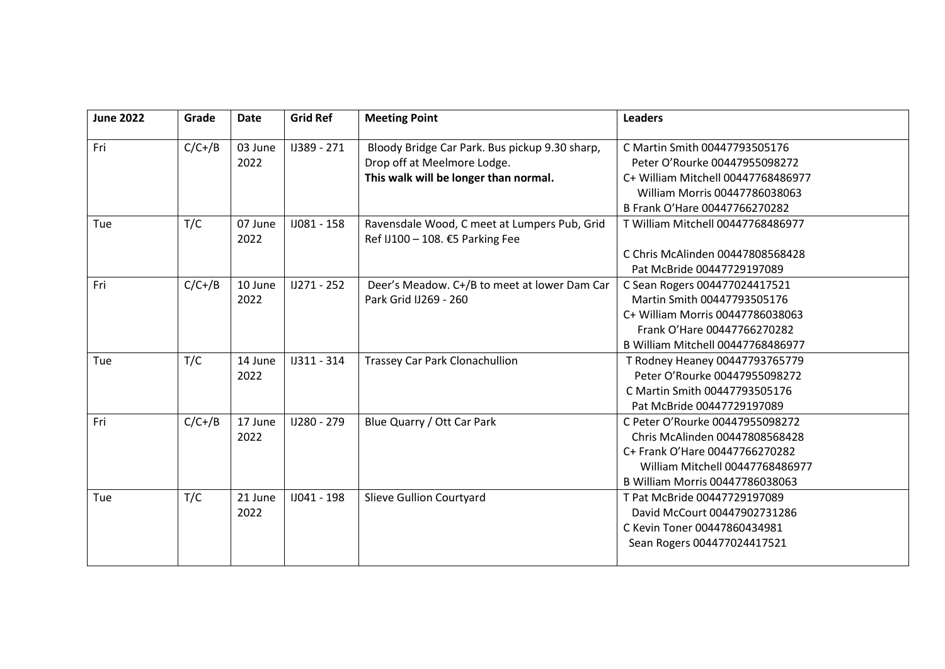| <b>June 2022</b> | Grade    | <b>Date</b>     | <b>Grid Ref</b> | <b>Meeting Point</b>                                                            | <b>Leaders</b>                     |
|------------------|----------|-----------------|-----------------|---------------------------------------------------------------------------------|------------------------------------|
| Fri              | $C/C+/B$ | 03 June         | IJ389 - 271     | Bloody Bridge Car Park. Bus pickup 9.30 sharp,                                  | C Martin Smith 00447793505176      |
|                  |          | 2022            |                 | Drop off at Meelmore Lodge.                                                     | Peter O'Rourke 00447955098272      |
|                  |          |                 |                 | This walk will be longer than normal.                                           | C+ William Mitchell 00447768486977 |
|                  |          |                 |                 |                                                                                 | William Morris 00447786038063      |
|                  |          |                 |                 |                                                                                 | B Frank O'Hare 00447766270282      |
| Tue              | T/C      | 07 June<br>2022 | IJ081 - 158     | Ravensdale Wood, C meet at Lumpers Pub, Grid<br>Ref IJ100 - 108. €5 Parking Fee | T William Mitchell 00447768486977  |
|                  |          |                 |                 |                                                                                 | C Chris McAlinden 00447808568428   |
|                  |          |                 |                 |                                                                                 | Pat McBride 00447729197089         |
| Fri              | $C/C+/B$ | 10 June         | IJ271 - 252     | Deer's Meadow. C+/B to meet at lower Dam Car                                    | C Sean Rogers 004477024417521      |
|                  |          | 2022            |                 | Park Grid IJ269 - 260                                                           | Martin Smith 00447793505176        |
|                  |          |                 |                 |                                                                                 | C+ William Morris 00447786038063   |
|                  |          |                 |                 |                                                                                 | Frank O'Hare 00447766270282        |
|                  |          |                 |                 |                                                                                 | B William Mitchell 00447768486977  |
| Tue              | T/C      | 14 June         | IJ311 - 314     | <b>Trassey Car Park Clonachullion</b>                                           | T Rodney Heaney 00447793765779     |
|                  |          | 2022            |                 |                                                                                 | Peter O'Rourke 00447955098272      |
|                  |          |                 |                 |                                                                                 | C Martin Smith 00447793505176      |
|                  |          |                 |                 |                                                                                 | Pat McBride 00447729197089         |
| Fri              | $C/C+/B$ | 17 June         | IJ280 - 279     | Blue Quarry / Ott Car Park                                                      | C Peter O'Rourke 00447955098272    |
|                  |          | 2022            |                 |                                                                                 | Chris McAlinden 00447808568428     |
|                  |          |                 |                 |                                                                                 | C+ Frank O'Hare 00447766270282     |
|                  |          |                 |                 |                                                                                 | William Mitchell 00447768486977    |
|                  |          |                 |                 |                                                                                 | B William Morris 00447786038063    |
| Tue              | T/C      | 21 June         | IJ041 - 198     | Slieve Gullion Courtyard                                                        | T Pat McBride 00447729197089       |
|                  |          | 2022            |                 |                                                                                 | David McCourt 00447902731286       |
|                  |          |                 |                 |                                                                                 | C Kevin Toner 00447860434981       |
|                  |          |                 |                 |                                                                                 | Sean Rogers 004477024417521        |
|                  |          |                 |                 |                                                                                 |                                    |